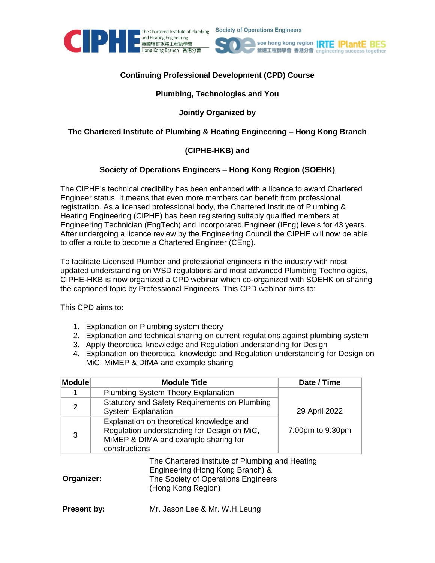





# **Continuing Professional Development (CPD) Course**

#### **Plumbing, Technologies and You**

### **Jointly Organized by**

# **The Chartered Institute of Plumbing & Heating Engineering – Hong Kong Branch**

### **(CIPHE-HKB) and**

#### **Society of Operations Engineers – Hong Kong Region (SOEHK)**

The CIPHE's technical credibility has been enhanced with a licence to award Chartered Engineer status. It means that even more members can benefit from professional registration. As a licensed professional body, the Chartered Institute of Plumbing & Heating Engineering (CIPHE) has been registering suitably qualified members at Engineering Technician (EngTech) and Incorporated Engineer (IEng) levels for 43 years. After undergoing a licence review by the Engineering Council the CIPHE will now be able to offer a route to become a Chartered Engineer (CEng).

To facilitate Licensed Plumber and professional engineers in the industry with most updated understanding on WSD regulations and most advanced Plumbing Technologies, CIPHE-HKB is now organized a CPD webinar which co-organized with SOEHK on sharing the captioned topic by Professional Engineers. This CPD webinar aims to:

This CPD aims to:

- 1. Explanation on Plumbing system theory
- 2. Explanation and technical sharing on current regulations against plumbing system
- 3. Apply theoretical knowledge and Regulation understanding for Design
- 4. Explanation on theoretical knowledge and Regulation understanding for Design on MiC, MiMEP & DfMA and example sharing

| <b>Module</b> | <b>Module Title</b>                                                                                                                              | Date / Time      |
|---------------|--------------------------------------------------------------------------------------------------------------------------------------------------|------------------|
|               | <b>Plumbing System Theory Explanation</b>                                                                                                        |                  |
| 2             | Statutory and Safety Requirements on Plumbing<br><b>System Explanation</b>                                                                       | 29 April 2022    |
| 3             | Explanation on theoretical knowledge and<br>Regulation understanding for Design on MiC,<br>MiMEP & DfMA and example sharing for<br>constructions | 7:00pm to 9:30pm |
| Organizer:    | The Chartered Institute of Plumbing and Heating<br>Engineering (Hong Kong Branch) &<br>The Society of Operations Engineers<br>(Hong Kong Region) |                  |

**Present by:** Mr. Jason Lee & Mr. W.H.Leung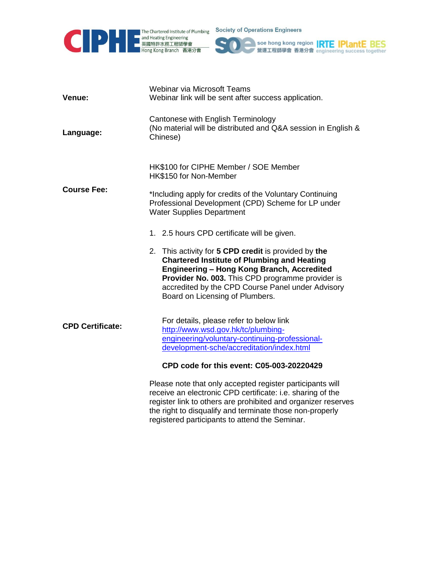

**Society of Operations Engineers** 



| Venue:                  | Webinar via Microsoft Teams<br>Webinar link will be sent after success application.                                                                                                                                                                                                                                                                 |  |
|-------------------------|-----------------------------------------------------------------------------------------------------------------------------------------------------------------------------------------------------------------------------------------------------------------------------------------------------------------------------------------------------|--|
| Language:               | Cantonese with English Terminology<br>(No material will be distributed and Q&A session in English &<br>Chinese)                                                                                                                                                                                                                                     |  |
| <b>Course Fee:</b>      | HK\$100 for CIPHE Member / SOE Member<br>HK\$150 for Non-Member<br>*Including apply for credits of the Voluntary Continuing<br>Professional Development (CPD) Scheme for LP under<br><b>Water Supplies Department</b>                                                                                                                               |  |
|                         | 1. 2.5 hours CPD certificate will be given.<br>2. This activity for 5 CPD credit is provided by the<br><b>Chartered Institute of Plumbing and Heating</b><br>Engineering - Hong Kong Branch, Accredited<br>Provider No. 003. This CPD programme provider is<br>accredited by the CPD Course Panel under Advisory<br>Board on Licensing of Plumbers. |  |
| <b>CPD Certificate:</b> | For details, please refer to below link<br>http://www.wsd.gov.hk/tc/plumbing-<br>engineering/voluntary-continuing-professional-<br>development-sche/accreditation/index.html<br>CPD code for this event: C05-003-20220429                                                                                                                           |  |
|                         | Please note that only accepted register participants will<br>receive an electronic CPD certificate: i.e. sharing of the<br>register link to others are prohibited and organizer reserves<br>the right to disqualify and terminate those non-properly<br>registered participants to attend the Seminar.                                              |  |